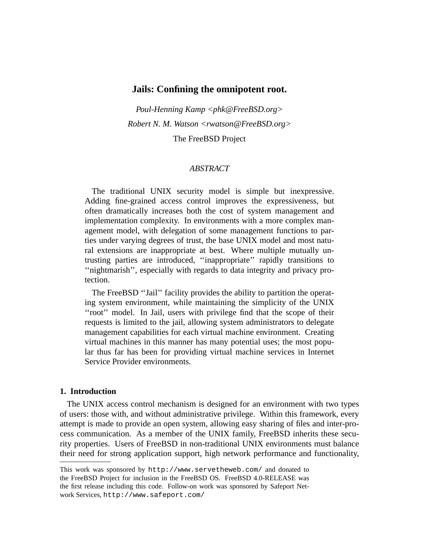# **Jails: Confining the omnipotent root.**

*Poul-Henning Kamp <phk@FreeBSD.org> Robert N. M. Watson <rwatson@FreeBSD.org>* The FreeBSD Project

# *ABSTRACT*

The traditional UNIX security model is simple but inexpressive. Adding fine-grained access control improves the expressiveness, but often dramatically increases both the cost of system management and implementation complexity. In environments with a more complex management model, with delegation of some management functions to parties under varying degrees of trust, the base UNIX model and most natural extensions are inappropriate at best. Where multiple mutually untrusting parties are introduced, ''inappropriate'' rapidly transitions to "nightmarish", especially with regards to data integrity and privacy protection.

The FreeBSD ''Jail'' facility provides the ability to partition the operating system environment, while maintaining the simplicity of the UNIX ''root'' model. In Jail, users with privilege find that the scope of their requests is limited to the jail, allowing system administrators to delegate management capabilities for each virtual machine environment. Creating virtual machines in this manner has many potential uses; the most popular thus far has been for providing virtual machine services in Internet Service Provider environments.

#### **1. Introduction**

The UNIX access control mechanism is designed for an environment with two types of users: those with, and without administrative privilege. Within this framework, every attempt is made to provide an open system, allowing easy sharing of files and inter-process communication. As a member of the UNIX family, FreeBSD inherits these security properties. Users of FreeBSD in non-traditional UNIX environments must balance their need for strong application support, high network performance and functionality,

This work was sponsored by http://www.servetheweb.com/ and donated to the FreeBSD Project for inclusion in the FreeBSD OS. FreeBSD 4.0-RELEASE was the first release including this code. Follow-on work was sponsored by Safeport Network Services, http://www.safeport.com/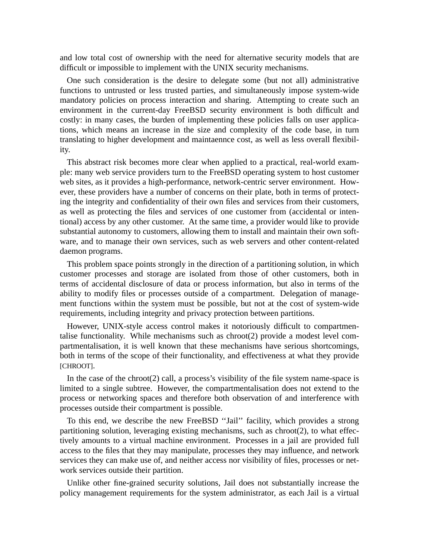and low total cost of ownership with the need for alternative security models that are difficult or impossible to implement with the UNIX security mechanisms.

One such consideration is the desire to delegate some (but not all) administrative functions to untrusted or less trusted parties, and simultaneously impose system-wide mandatory policies on process interaction and sharing. Attempting to create such an environment in the current-day FreeBSD security environment is both difficult and costly: in many cases, the burden of implementing these policies falls on user applications, which means an increase in the size and complexity of the code base, in turn translating to higher development and maintaennce cost, as well as less overall flexibility.

This abstract risk becomes more clear when applied to a practical, real-world example: many web service providers turn to the FreeBSD operating system to host customer web sites, as it provides a high-performance, network-centric server environment. However, these providers have a number of concerns on their plate, both in terms of protecting the integrity and confidentiality of their own files and services from their customers, as well as protecting the files and services of one customer from (accidental or intentional) access by any other customer. At the same time, a provider would like to provide substantial autonomy to customers, allowing them to install and maintain their own software, and to manage their own services, such as web servers and other content-related daemon programs.

This problem space points strongly in the direction of a partitioning solution, in which customer processes and storage are isolated from those of other customers, both in terms of accidental disclosure of data or process information, but also in terms of the ability to modify files or processes outside of a compartment. Delegation of management functions within the system must be possible, but not at the cost of system-wide requirements, including integrity and privacy protection between partitions.

However, UNIX-style access control makes it notoriously difficult to compartmentalise functionality. While mechanisms such as chroot(2) provide a modest level compartmentalisation, it is well known that these mechanisms have serious shortcomings, both in terms of the scope of their functionality, and effectiveness at what they provide [CHROOT].

In the case of the chroot $(2)$  call, a process's visibility of the file system name-space is limited to a single subtree. However, the compartmentalisation does not extend to the process or networking spaces and therefore both observation of and interference with processes outside their compartment is possible.

To this end, we describe the new FreeBSD ''Jail'' facility, which provides a strong partitioning solution, leveraging existing mechanisms, such as chroot(2), to what effectively amounts to a virtual machine environment. Processes in a jail are provided full access to the files that they may manipulate, processes they may influence, and network services they can make use of, and neither access nor visibility of files, processes or network services outside their partition.

Unlike other fine-grained security solutions, Jail does not substantially increase the policy management requirements for the system administrator, as each Jail is a virtual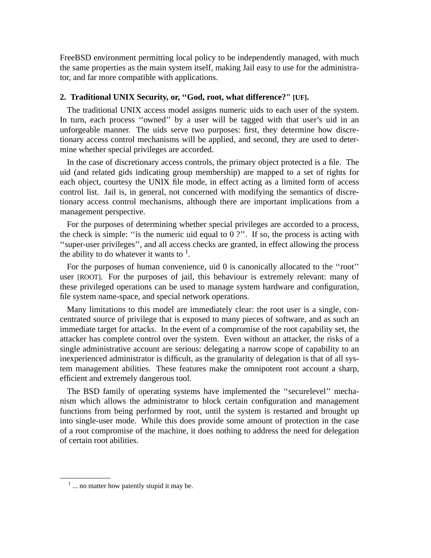FreeBSD environment permitting local policy to be independently managed, with much the same properties as the main system itself, making Jail easy to use for the administrator, and far more compatible with applications.

# **2. Traditional UNIX Security, or, ''God, root, what difference?" [UF].**

The traditional UNIX access model assigns numeric uids to each user of the system. In turn, each process "owned" by a user will be tagged with that user's uid in an unforgeable manner. The uids serve two purposes: first, they determine how discretionary access control mechanisms will be applied, and second, they are used to determine whether special privileges are accorded.

In the case of discretionary access controls, the primary object protected is a file. The uid (and related gids indicating group membership) are mapped to a set of rights for each object, courtesy the UNIX file mode, in effect acting as a limited form of access control list. Jail is, in general, not concerned with modifying the semantics of discretionary access control mechanisms, although there are important implications from a management perspective.

For the purposes of determining whether special privileges are accorded to a process, the check is simple: "is the numeric uid equal to  $0$  ?". If so, the process is acting with ''super-user privileges'', and all access checks are granted, in effect allowing the process the ability to do whatever it wants to  $<sup>1</sup>$ .</sup>

For the purposes of human convenience, uid 0 is canonically allocated to the ''root'' user [ROOT]. For the purposes of jail, this behaviour is extremely relevant: many of these privileged operations can be used to manage system hardware and configuration, file system name-space, and special network operations.

Many limitations to this model are immediately clear: the root user is a single, concentrated source of privilege that is exposed to many pieces of software, and as such an immediate target for attacks. In the event of a compromise of the root capability set, the attacker has complete control over the system. Even without an attacker, the risks of a single administrative account are serious: delegating a narrow scope of capability to an inexperienced administrator is difficult, as the granularity of delegation is that of all system management abilities. These features make the omnipotent root account a sharp, efficient and extremely dangerous tool.

The BSD family of operating systems have implemented the ''securelevel'' mechanism which allows the administrator to block certain configuration and management functions from being performed by root, until the system is restarted and brought up into single-user mode. While this does provide some amount of protection in the case of a root compromise of the machine, it does nothing to address the need for delegation of certain root abilities.

<sup>&</sup>lt;sup>1</sup> ... no matter how patently stupid it may be.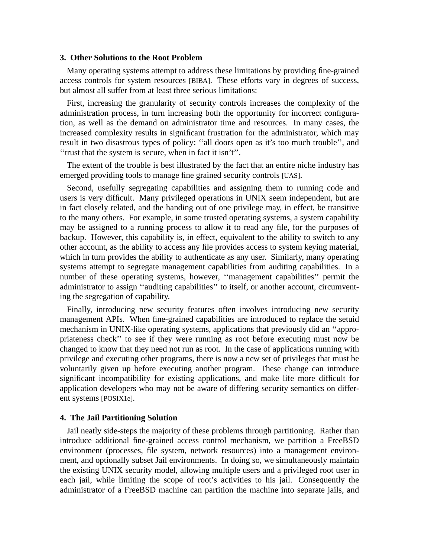### **3. Other Solutions to the Root Problem**

Many operating systems attempt to address these limitations by providing fine-grained access controls for system resources [BIBA]. These efforts vary in degrees of success, but almost all suffer from at least three serious limitations:

First, increasing the granularity of security controls increases the complexity of the administration process, in turn increasing both the opportunity for incorrect configuration, as well as the demand on administrator time and resources. In many cases, the increased complexity results in significant frustration for the administrator, which may result in two disastrous types of policy: ''all doors open as it's too much trouble'', and ''trust that the system is secure, when in fact it isn't''.

The extent of the trouble is best illustrated by the fact that an entire niche industry has emerged providing tools to manage fine grained security controls [UAS].

Second, usefully segregating capabilities and assigning them to running code and users is very difficult. Many privileged operations in UNIX seem independent, but are in fact closely related, and the handing out of one privilege may, in effect, be transitive to the many others. For example, in some trusted operating systems, a system capability may be assigned to a running process to allow it to read any file, for the purposes of backup. However, this capability is, in effect, equivalent to the ability to switch to any other account, as the ability to access any file provides access to system keying material, which in turn provides the ability to authenticate as any user. Similarly, many operating systems attempt to segregate management capabilities from auditing capabilities. In a number of these operating systems, however, ''management capabilities'' permit the administrator to assign ''auditing capabilities'' to itself, or another account, circumventing the segregation of capability.

Finally, introducing new security features often involves introducing new security management APIs. When fine-grained capabilities are introduced to replace the setuid mechanism in UNIX-like operating systems, applications that previously did an ''appropriateness check'' to see if they were running as root before executing must now be changed to know that they need not run as root. In the case of applications running with privilege and executing other programs, there is nowanew set of privileges that must be voluntarily given up before executing another program. These change can introduce significant incompatibility for existing applications, and make life more difficult for application developers who may not be aware of differing security semantics on different systems [POSIX1e].

# **4. The Jail Partitioning Solution**

Jail neatly side-steps the majority of these problems through partitioning. Rather than introduce additional fine-grained access control mechanism, we partition a FreeBSD environment (processes, file system, network resources) into a management environment, and optionally subset Jail environments. In doing so, we simultaneously maintain the existing UNIX security model, allowing multiple users and a privileged root user in each jail, while limiting the scope of root's activities to his jail. Consequently the administrator of a FreeBSD machine can partition the machine into separate jails, and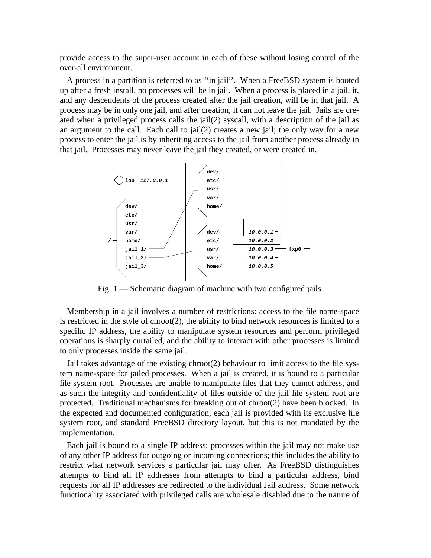provide access to the super-user account in each of these without losing control of the over-all environment.

A process in a partition is referred to as ''in jail''. When a FreeBSD system is booted up after a fresh install, no processes will be in jail. When a process is placed in a jail, it, and any descendents of the process created after the jail creation, will be in that jail. A process may be in only one jail, and after creation, it can not leave the jail. Jails are created when a privileged process calls the jail(2) syscall, with a description of the jail as an argument to the call. Each call to jail(2) creates a new jail; the only way for a new process to enter the jail is by inheriting access to the jail from another process already in that jail. Processes may never leave the jail they created, or were created in.



Fig. 1 — Schematic diagram of machine with two configured jails

Membership in a jail involves a number of restrictions: access to the file name-space is restricted in the style of chroot(2), the ability to bind network resources is limited to a specific IP address, the ability to manipulate system resources and perform privileged operations is sharply curtailed, and the ability to interact with other processes is limited to only processes inside the same jail.

Jail takes advantage of the existing chroot(2) behaviour to limit access to the file system name-space for jailed processes. When a jail is created, it is bound to a particular file system root. Processes are unable to manipulate files that they cannot address, and as such the integrity and confidentiality of files outside of the jail file system root are protected. Traditional mechanisms for breaking out of chroot(2) have been blocked. In the expected and documented configuration, each jail is provided with its exclusive file system root, and standard FreeBSD directory layout, but this is not mandated by the implementation.

Each jail is bound to a single IP address: processes within the jail may not make use of any other IP address for outgoing or incoming connections; this includes the ability to restrict what network services a particular jail may offer. As FreeBSD distinguishes attempts to bind all IP addresses from attempts to bind a particular address, bind requests for all IP addresses are redirected to the individual Jail address. Some network functionality associated with privileged calls are wholesale disabled due to the nature of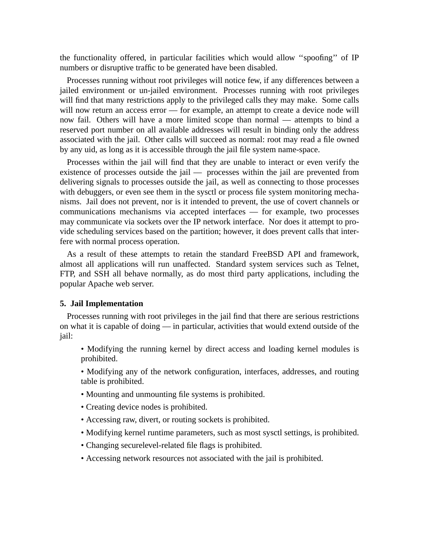the functionality offered, in particular facilities which would allow ''spoofing'' of IP numbers or disruptive traffic to be generated have been disabled.

Processes running without root privileges will notice few, if any differences between a jailed environment or un-jailed environment. Processes running with root privileges will find that many restrictions apply to the privileged calls they may make. Some calls will now return an access error — for example, an attempt to create a device node will now fail. Others will have a more limited scope than normal — attempts to bind a reserved port number on all available addresses will result in binding only the address associated with the jail. Other calls will succeed as normal: root may read a file owned by any uid, as long as it is accessible through the jail file system name-space.

Processes within the jail will find that they are unable to interact or even verify the existence of processes outside the jail — processes within the jail are prevented from delivering signals to processes outside the jail, as well as connecting to those processes with debuggers, or even see them in the sysctl or process file system monitoring mechanisms. Jail does not prevent, nor is it intended to prevent, the use of covert channels or communications mechanisms via accepted interfaces — for example, two processes may communicate via sockets over the IP network interface. Nor does it attempt to provide scheduling services based on the partition; however, it does prevent calls that interfere with normal process operation.

As a result of these attempts to retain the standard FreeBSD API and framework, almost all applications will run unaffected. Standard system services such as Telnet, FTP, and SSH all behave normally, as do most third party applications, including the popular Apache web server.

#### **5. Jail Implementation**

Processes running with root privileges in the jail find that there are serious restrictions on what it is capable of doing — in particular, activities that would extend outside of the jail:

• Modifying the running kernel by direct access and loading kernel modules is prohibited.

• Modifying any of the network configuration, interfaces, addresses, and routing table is prohibited.

- Mounting and unmounting file systems is prohibited.
- Creating device nodes is prohibited.
- Accessing raw, divert, or routing sockets is prohibited.
- Modifying kernel runtime parameters, such as most sysctl settings, is prohibited.
- Changing securelevel-related file flags is prohibited.
- Accessing network resources not associated with the jail is prohibited.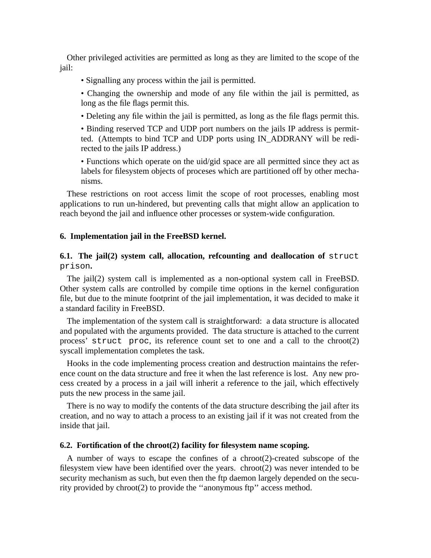Other privileged activities are permitted as long as they are limited to the scope of the jail:

- Signalling any process within the jail is permitted.
- Changing the ownership and mode of any file within the jail is permitted, as long as the file flags permit this.
- Deleting any file within the jail is permitted, as long as the file flags permit this.

• Binding reserved TCP and UDP port numbers on the jails IP address is permitted. (Attempts to bind TCP and UDP ports using IN\_ADDRANY will be redirected to the jails IP address.)

• Functions which operate on the uid/gid space are all permitted since they act as labels for filesystem objects of proceses which are partitioned off by other mechanisms.

These restrictions on root access limit the scope of root processes, enabling most applications to run un-hindered, but preventing calls that might allow an application to reach beyond the jail and influence other processes or system-wide configuration.

### **6. Implementation jail in the FreeBSD kernel.**

# **6.1. The jail(2) system call, allocation, refcounting and deallocation of** struct prison**.**

The jail(2) system call is implemented as a non-optional system call in FreeBSD. Other system calls are controlled by compile time options in the kernel configuration file, but due to the minute footprint of the jail implementation, it was decided to make it a standard facility in FreeBSD.

The implementation of the system call is straightforward: a data structure is allocated and populated with the arguments provided. The data structure is attached to the current process' struct proc, its reference count set to one and a call to the chroot(2) syscall implementation completes the task.

Hooks in the code implementing process creation and destruction maintains the reference count on the data structure and free it when the last reference is lost. Any new process created by a process in a jail will inherit a reference to the jail, which effectively puts the new process in the same jail.

There is no way to modify the contents of the data structure describing the jail after its creation, and no way to attach a process to an existing jail if it was not created from the inside that jail.

# **6.2. Fortification of the chroot(2) facility for filesystem name scoping.**

A number of ways to escape the confines of a chroot(2)-created subscope of the filesystem view have been identified over the years. chroot $(2)$  was never intended to be security mechanism as such, but even then the ftp daemon largely depended on the security provided by chroot(2) to provide the ''anonymous ftp'' access method.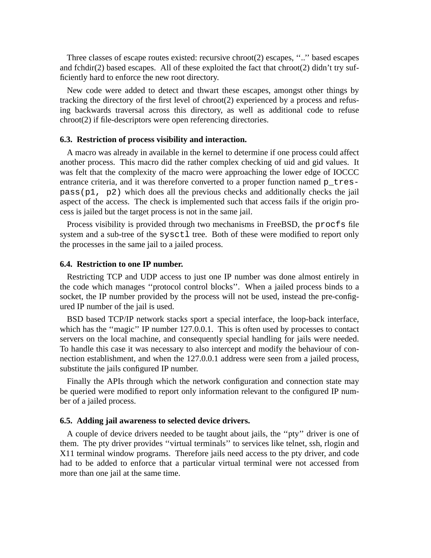Three classes of escape routes existed: recursive chroot(2) escapes, ''..'' based escapes and fchdir(2) based escapes. All of these exploited the fact that chroot(2) didn't try sufficiently hard to enforce the new root directory.

New code were added to detect and thwart these escapes, amongst other things by tracking the directory of the first level of chroot(2) experienced by a process and refusing backwards traversal across this directory, as well as additional code to refuse chroot(2) if file-descriptors were open referencing directories.

### **6.3. Restriction of process visibility and interaction.**

A macro was already in available in the kernel to determine if one process could affect another process. This macro did the rather complex checking of uid and gid values. It was felt that the complexity of the macro were approaching the lower edge of IOCCC entrance criteria, and it was therefore converted to a proper function named p\_trespass(p1, p2) which does all the previous checks and additionally checks the jail aspect of the access. The check is implemented such that access fails if the origin process is jailed but the target process is not in the same jail.

Process visibility is provided through two mechanisms in FreeBSD, the procfs file system and a sub-tree of the sysctl tree. Both of these were modified to report only the processes in the same jail to a jailed process.

#### **6.4. Restriction to one IP number.**

Restricting TCP and UDP access to just one IP number was done almost entirely in the code which manages ''protocol control blocks''. When a jailed process binds to a socket, the IP number provided by the process will not be used, instead the pre-configured IP number of the jail is used.

BSD based TCP/IP network stacks sport a special interface, the loop-back interface, which has the "magic" IP number 127.0.0.1. This is often used by processes to contact servers on the local machine, and consequently special handling for jails were needed. To handle this case it was necessary to also intercept and modify the behaviour of connection establishment, and when the 127.0.0.1 address were seen from a jailed process, substitute the jails configured IP number.

Finally the APIs through which the network configuration and connection state may be queried were modified to report only information relevant to the configured IP number of a jailed process.

#### **6.5. Adding jail awareness to selected device drivers.**

A couple of device drivers needed to be taught about jails, the ''pty'' driver is one of them. The pty driver provides ''virtual terminals'' to services like telnet, ssh, rlogin and X11 terminal window programs. Therefore jails need access to the pty driver, and code had to be added to enforce that a particular virtual terminal were not accessed from more than one jail at the same time.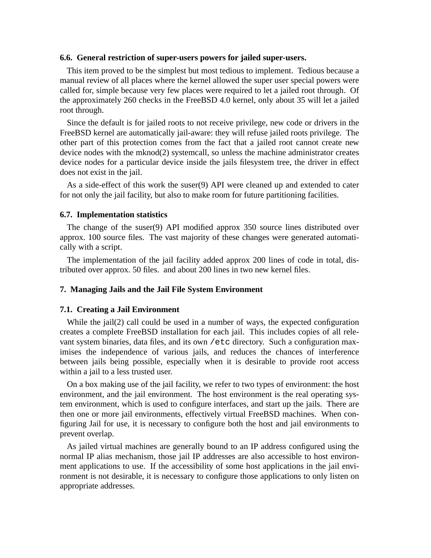### **6.6. General restriction of super-users powers for jailed super-users.**

This item proved to be the simplest but most tedious to implement. Tedious because a manual review of all places where the kernel allowed the super user special powers were called for, simple because very few places were required to let a jailed root through. Of the approximately 260 checks in the FreeBSD 4.0 kernel, only about 35 will let a jailed root through.

Since the default is for jailed roots to not receive privilege, new code or drivers in the FreeBSD kernel are automatically jail-aware: they will refuse jailed roots privilege. The other part of this protection comes from the fact that a jailed root cannot create new device nodes with the mknod(2) systemcall, so unless the machine administrator creates device nodes for a particular device inside the jails filesystem tree, the driver in effect does not exist in the jail.

As a side-effect of this work the suser(9) API were cleaned up and extended to cater for not only the jail facility, but also to make room for future partitioning facilities.

### **6.7. Implementation statistics**

The change of the suser(9) API modified approx 350 source lines distributed over approx. 100 source files. The vast majority of these changes were generated automatically with a script.

The implementation of the jail facility added approx 200 lines of code in total, distributed over approx. 50 files. and about 200 lines in two new kernel files.

#### **7. Managing Jails and the Jail File System Environment**

### **7.1. Creating a Jail Environment**

While the jail(2) call could be used in a number of ways, the expected configuration creates a complete FreeBSD installation for each jail. This includes copies of all relevant system binaries, data files, and its own /etc directory. Such a configuration maximises the independence of various jails, and reduces the chances of interference between jails being possible, especially when it is desirable to provide root access within a jail to a less trusted user.

On a box making use of the jail facility, we refer to two types of environment: the host environment, and the jail environment. The host environment is the real operating system environment, which is used to configure interfaces, and start up the jails. There are then one or more jail environments, effectively virtual FreeBSD machines. When configuring Jail for use, it is necessary to configure both the host and jail environments to prevent overlap.

As jailed virtual machines are generally bound to an IP address configured using the normal IP alias mechanism, those jail IP addresses are also accessible to host environment applications to use. If the accessibility of some host applications in the jail environment is not desirable, it is necessary to configure those applications to only listen on appropriate addresses.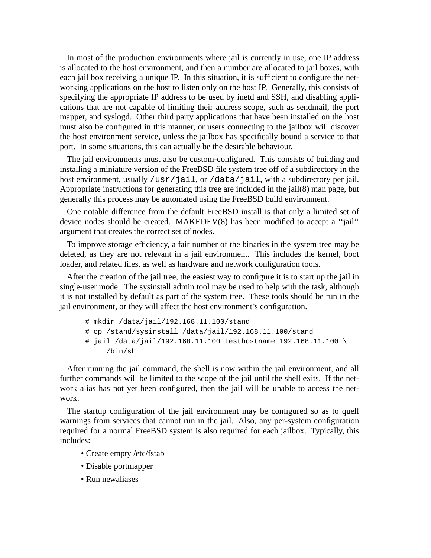In most of the production environments where jail is currently in use, one IP address is allocated to the host environment, and then a number are allocated to jail boxes, with each jail box receiving a unique IP. In this situation, it is sufficient to configure the networking applications on the host to listen only on the host IP. Generally, this consists of specifying the appropriate IP address to be used by inetd and SSH, and disabling applications that are not capable of limiting their address scope, such as sendmail, the port mapper, and syslogd. Other third party applications that have been installed on the host must also be configured in this manner, or users connecting to the jailbox will discover the host environment service, unless the jailbox has specifically bound a service to that port. In some situations, this can actually be the desirable behaviour.

The jail environments must also be custom-configured. This consists of building and installing a miniature version of the FreeBSD file system tree off of a subdirectory in the host environment, usually /usr/jail, or /data/jail, with a subdirectory per jail. Appropriate instructions for generating this tree are included in the jail(8) man page, but generally this process may be automated using the FreeBSD build environment.

One notable difference from the default FreeBSD install is that only a limited set of device nodes should be created. MAKEDEV(8) has been modified to accept a ''jail'' argument that creates the correct set of nodes.

To improve storage efficiency, a fair number of the binaries in the system tree may be deleted, as they are not relevant in a jail environment. This includes the kernel, boot loader, and related files, as well as hardware and network configuration tools.

After the creation of the jail tree, the easiest way to configure it is to start up the jail in single-user mode. The sysinstall admin tool may be used to help with the task, although it is not installed by default as part of the system tree. These tools should be run in the jail environment, or they will affect the host environment's configuration.

```
# mkdir /data/jail/192.168.11.100/stand
# cp /stand/sysinstall /data/jail/192.168.11.100/stand
# jail /data/jail/192.168.11.100 testhostname 192.168.11.100 \
     /bin/sh
```
After running the jail command, the shell is now within the jail environment, and all further commands will be limited to the scope of the jail until the shell exits. If the network alias has not yet been configured, then the jail will be unable to access the network.

The startup configuration of the jail environment may be configured so as to quell warnings from services that cannot run in the jail. Also, any per-system configuration required for a normal FreeBSD system is also required for each jailbox. Typically, this includes:

- Create empty /etc/fstab
- Disable portmapper
- Run newaliases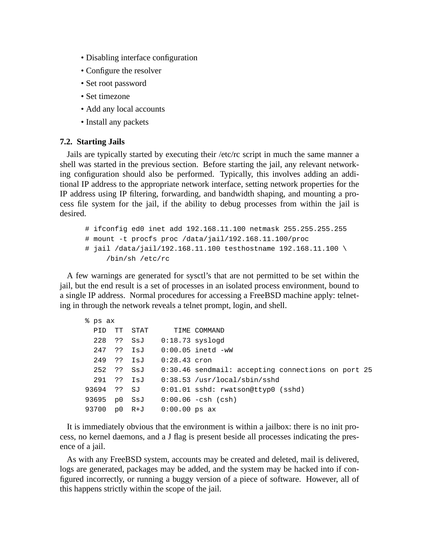- Disabling interface configuration
- Configure the resolver
- Set root password
- Set timezone
- Add any local accounts
- Install any packets

### **7.2. Starting Jails**

Jails are typically started by executing their /etc/rc script in much the same manner a shell was started in the previous section. Before starting the jail, any relevant networking configuration should also be performed. Typically, this involves adding an additional IP address to the appropriate network interface, setting network properties for the IP address using IP filtering, forwarding, and bandwidth shaping, and mounting a process file system for the jail, if the ability to debug processes from within the jail is desired.

```
# ifconfig ed0 inet add 192.168.11.100 netmask 255.255.255.255
# mount -t procfs proc /data/jail/192.168.11.100/proc
# jail /data/jail/192.168.11.100 testhostname 192.168.11.100 \
     /bin/sh /etc/rc
```
A few warnings are generated for sysctl's that are not permitted to be set within the jail, but the end result is a set of processes in an isolated process environment, bound to a single IP address. Normal procedures for accessing a FreeBSD machine apply: telneting in through the network reveals a telnet prompt, login, and shell.

| % ps ax |  |    |             |                            |                                                               |
|---------|--|----|-------------|----------------------------|---------------------------------------------------------------|
| PID     |  | TT | STAT        |                            | TIME COMMAND                                                  |
|         |  |    |             | 228 ?? SsJ 0:18.73 syslogd |                                                               |
|         |  |    |             |                            | 247 ?? IsJ 0:00.05 inetd -wW                                  |
|         |  |    |             | 249 ?? IsJ 0:28.43 cron    |                                                               |
|         |  |    |             |                            | 252 ?? SsJ 0:30.46 sendmail: accepting connections on port 25 |
|         |  |    | 291 ?? IsJ  |                            | $0:38.53$ /usr/local/sbin/sshd                                |
|         |  |    | 93694 ?? SJ |                            | $0:01.01$ sshd: rwatson@ttyp0 (sshd)                          |
|         |  |    |             |                            | $93695$ p0 SsJ $0:00.06$ -csh (csh)                           |
| 93700   |  |    |             | p0 R+J 0:00.00 ps ax       |                                                               |

It is immediately obvious that the environment is within a jailbox: there is no init process, no kernel daemons, and a J flag is present beside all processes indicating the presence of a jail.

As with any FreeBSD system, accounts may be created and deleted, mail is delivered, logs are generated, packages may be added, and the system may be hacked into if configured incorrectly, or running a buggy version of a piece of software. However, all of this happens strictly within the scope of the jail.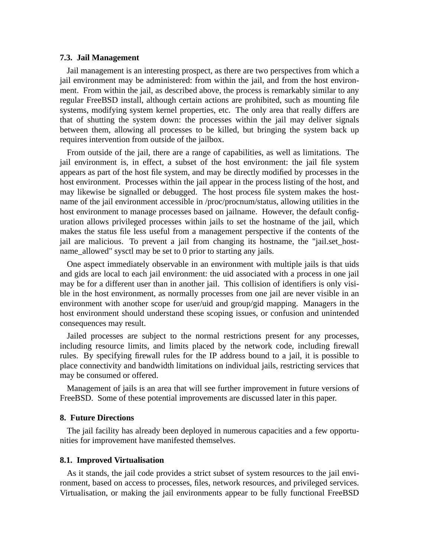### **7.3. Jail Management**

Jail management is an interesting prospect, as there are two perspectives from which a jail environment may be administered: from within the jail, and from the host environment. From within the jail, as described above, the process is remarkably similar to any regular FreeBSD install, although certain actions are prohibited, such as mounting file systems, modifying system kernel properties, etc. The only area that really differs are that of shutting the system down: the processes within the jail may deliver signals between them, allowing all processes to be killed, but bringing the system back up requires intervention from outside of the jailbox.

From outside of the jail, there are a range of capabilities, as well as limitations. The jail environment is, in effect, a subset of the host environment: the jail file system appears as part of the host file system, and may be directly modified by processes in the host environment. Processes within the jail appear in the process listing of the host, and may likewise be signalled or debugged. The host process file system makes the hostname of the jail environment accessible in /proc/procnum/status, allowing utilities in the host environment to manage processes based on jailname. However, the default configuration allows privileged processes within jails to set the hostname of the jail, which makes the status file less useful from a management perspective if the contents of the jail are malicious. To prevent a jail from changing its hostname, the "jail.set hostname\_allowed" sysctl may be set to 0 prior to starting any jails.

One aspect immediately observable in an environment with multiple jails is that uids and gids are local to each jail environment: the uid associated with a process in one jail may be for a different user than in another jail. This collision of identifiers is only visible in the host environment, as normally processes from one jail are never visible in an environment with another scope for user/uid and group/gid mapping. Managers in the host environment should understand these scoping issues, or confusion and unintended consequences may result.

Jailed processes are subject to the normal restrictions present for any processes, including resource limits, and limits placed by the network code, including firewall rules. By specifying firewall rules for the IP address bound to a jail, it is possible to place connectivity and bandwidth limitations on individual jails, restricting services that may be consumed or offered.

Management of jails is an area that will see further improvement in future versions of FreeBSD. Some of these potential improvements are discussed later in this paper.

# **8. Future Directions**

The jail facility has already been deployed in numerous capacities and a few opportunities for improvement have manifested themselves.

#### **8.1. Improved Virtualisation**

As it stands, the jail code provides a strict subset of system resources to the jail environment, based on access to processes, files, network resources, and privileged services. Virtualisation, or making the jail environments appear to be fully functional FreeBSD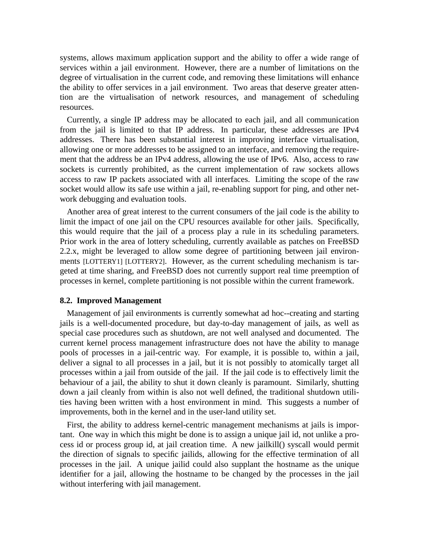systems, allows maximum application support and the ability to offer a wide range of services within a jail environment. However, there are a number of limitations on the degree of virtualisation in the current code, and removing these limitations will enhance the ability to offer services in a jail environment. Two areas that deserve greater attention are the virtualisation of network resources, and management of scheduling resources.

Currently, a single IP address may be allocated to each jail, and all communication from the jail is limited to that IP address. In particular, these addresses are IPv4 addresses. There has been substantial interest in improving interface virtualisation, allowing one or more addresses to be assigned to an interface, and removing the requirement that the address be an IPv4 address, allowing the use of IPv6. Also, access to raw sockets is currently prohibited, as the current implementation of raw sockets allows access to raw IP packets associated with all interfaces. Limiting the scope of the raw socket would allow its safe use within a jail, re-enabling support for ping, and other network debugging and evaluation tools.

Another area of great interest to the current consumers of the jail code is the ability to limit the impact of one jail on the CPU resources available for other jails. Specifically, this would require that the jail of a process play a rule in its scheduling parameters. Prior work in the area of lottery scheduling, currently available as patches on FreeBSD 2.2.x, might be leveraged to allow some degree of partitioning between jail environments [LOTTERY1] [LOTTERY2]. However, as the current scheduling mechanism is targeted at time sharing, and FreeBSD does not currently support real time preemption of processes in kernel, complete partitioning is not possible within the current framework.

#### **8.2. Improved Management**

Management of jail environments is currently somewhat ad hoc--creating and starting jails is a well-documented procedure, but day-to-day management of jails, as well as special case procedures such as shutdown, are not well analysed and documented. The current kernel process management infrastructure does not have the ability to manage pools of processes in a jail-centric way. For example, it is possible to, within a jail, deliver a signal to all processes in a jail, but it is not possibly to atomically target all processes within a jail from outside of the jail. If the jail code is to effectively limit the behaviour of a jail, the ability to shut it down cleanly is paramount. Similarly, shutting down a jail cleanly from within is also not well defined, the traditional shutdown utilities having been written with a host environment in mind. This suggests a number of improvements, both in the kernel and in the user-land utility set.

First, the ability to address kernel-centric management mechanisms at jails is important. One way in which this might be done is to assign a unique jail id, not unlike a process id or process group id, at jail creation time. A new jailkill() syscall would permit the direction of signals to specific jailids, allowing for the effective termination of all processes in the jail. A unique jailid could also supplant the hostname as the unique identifier for a jail, allowing the hostname to be changed by the processes in the jail without interfering with jail management.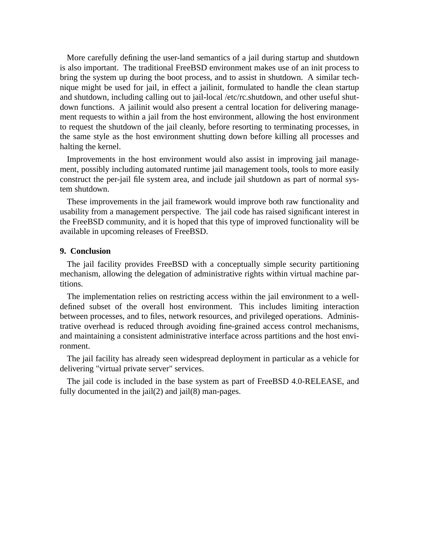More carefully defining the user-land semantics of a jail during startup and shutdown is also important. The traditional FreeBSD environment makes use of an init process to bring the system up during the boot process, and to assist in shutdown. A similar technique might be used for jail, in effect a jailinit, formulated to handle the clean startup and shutdown, including calling out to jail-local /etc/rc.shutdown, and other useful shutdown functions. A jailinit would also present a central location for delivering management requests to within a jail from the host environment, allowing the host environment to request the shutdown of the jail cleanly, before resorting to terminating processes, in the same style as the host environment shutting down before killing all processes and halting the kernel.

Improvements in the host environment would also assist in improving jail management, possibly including automated runtime jail management tools, tools to more easily construct the per-jail file system area, and include jail shutdown as part of normal system shutdown.

These improvements in the jail framework would improve both raw functionality and usability from a management perspective. The jail code has raised significant interest in the FreeBSD community, and it is hoped that this type of improved functionality will be available in upcoming releases of FreeBSD.

### **9. Conclusion**

The jail facility provides FreeBSD with a conceptually simple security partitioning mechanism, allowing the delegation of administrative rights within virtual machine partitions.

The implementation relies on restricting access within the jail environment to a welldefined subset of the overall host environment. This includes limiting interaction between processes, and to files, network resources, and privileged operations. Administrative overhead is reduced through avoiding fine-grained access control mechanisms, and maintaining a consistent administrative interface across partitions and the host environment.

The jail facility has already seen widespread deployment in particular as a vehicle for delivering "virtual private server" services.

The jail code is included in the base system as part of FreeBSD 4.0-RELEASE, and fully documented in the jail(2) and jail(8) man-pages.